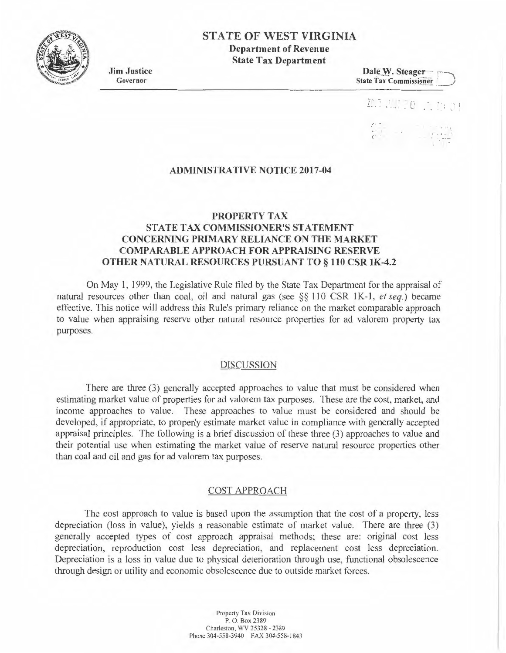# **STATE OF WEST VIRGINIA**

**Department of Revenue State Tax Department** 

**Jim Justice**  Governor

 $D$ ale **W**. Steager State Tax Commissioner

# - r

## **ADMINISTRATIVE NOTICE 2017-04**

#### **PROPERTY TAX**

# **STATE TAX COMMISSIONER'S STATEMENT CONCERNING PRIMARY RELIANCE ON THE MARKET COMPARABLE APPROACH FOR APPRAISING RESERVE OTHER NATURAL RESOURCES PURSUANT TO§ 110 CSR lK-4.2**

On May I, 1999, the Legislative Rule filed by the State Tax Department for the appraisal of natural resources other than coal, oil and natural gas (see  $\S$ § 110 CSR 1K-1, *et seq.*) became effective. This notice will address this Rule's primary reliance on the market comparable approach to value when appraising reserve other natural resource properties for ad valorem property tax purposes.

## DISCUSSION

There are three (3) generally accepted approaches to value that must be considered when estimating market value of properties for ad valorem tax purposes. These are the cost, market, and income approaches to value. These approaches to value must be considered and should be developed, if appropriate, to properly estimate market value in compliance with generally accepted appraisal principles. The following is a brief discussion of these three (3) approaches to value and their potential use when estimating the market value of reserve natural resource properties other than coal and oil and gas for ad valorem tax purposes.

#### COST APPROACH

The cost approach to value is based upon the assumption that the cost of a property, less depreciation (loss in value), yields a reasonable estimate of market value. There are three (3) generally accepted types of cost approach appraisal methods; these are: original cost less depreciation, reproduction cost less depreciation, and replacement cost less depreciation. Depreciation is a Joss in value due to physical deterioration through use, functional obsolescence through design or utility and economic obsolescence due to outside market forces.

> Property Tax Division P. O. Box 2389 Charleston. WV 25328 - 2389 Phone 304-558-3940 FAX 304-558-1843

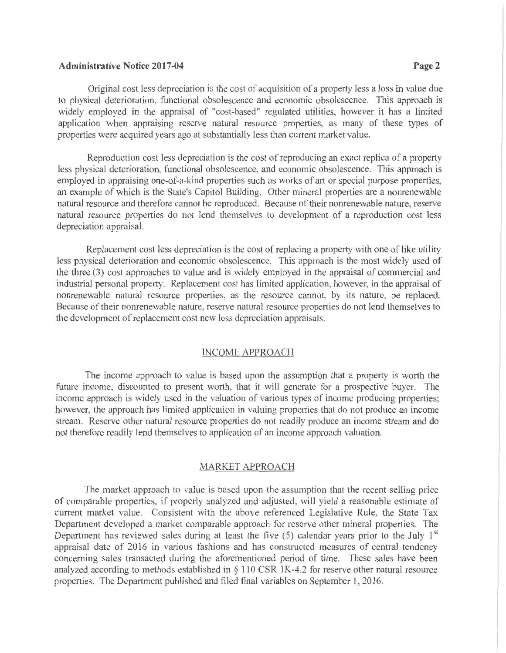## **Administrative Notice 2017-04 Page2**

Original cost less depreciation is the cost of acquisition of a property less a loss in value due to physical deterioration, functional obsolescence and economic obsolescence. This approach is widely employed in the appraisal of "cost-based" regulated utilities, however it has a limited application when appraising reserve natural resource properties, as many of these types of properties were acquired years ago at substantially less than current market value.

Reproduction cost less depreciation is the cost of reproducing an exact replica of a property less physical deterioration, functional obsolescence, and economic obsolescence. This approach is employed in appraising one-of-a-kind properties such as works of art or special purpose properties, an example of which is the State's Capitol Building. Other mineral properties are a nonrenewable natural resource and therefore cannot be reproduced. Because of their nonrenewable nature, reserve natural resource properties do not lend themselves to development of a reproduction cost less depreciation appraisal.

Replacement cost less depreciation is the cost of replacing a property with one of like utility less physical deterioration and economic obsolescence. This approach is the most widely used of the three (3) cost approaches to value and is widely employed in the appraisal of commercial and industrial personal property. Replacement cost has limited application, however, in the appraisal of nonrenewable natural resource properties, as the resource cannot, by its nature, be replaced. Because of their nonrenewable nature, reserve natural resource properties do not lend themselves to the development of replacement cost new less depreciation appraisals.

#### **INCOME APPROACH**

The income approach to value is based upon the assumption that a property is worth the future income, discounted to present worth, that it will generate for a prospective buyer. The income approach is widely used in the valuation of various types of income producing properties; however, the approach has limited application in valuing properties that do not produce an income stream. Reserve other natural resource properties do not readily produce an income stream and do not therefore readily lend themselves to application of an income approach valuation.

## MARKET APPROACH

The market approach to value is based upon the assumption that the recent selling price of comparable properties, if properly analyzed and adjusted. will yield a reasonable estimate of current market value. Consistent with the above referenced Legislative Rule, the State Tax Department developed a market comparable approach for reserve other mineral properties. The Department has reviewed sales during at least the five  $(5)$  calendar years prior to the July  $1<sup>st</sup>$ appraisal date of 2016 in various fashions and has constructed measures of central tendency concerning sales transacted during the aforementioned period of time. These sales have been analyzed according to methods established in  $\S$  110 CSR 1K-4.2 for reserve other natural resource properties. The Department published and filed final variables on September I, 2016.